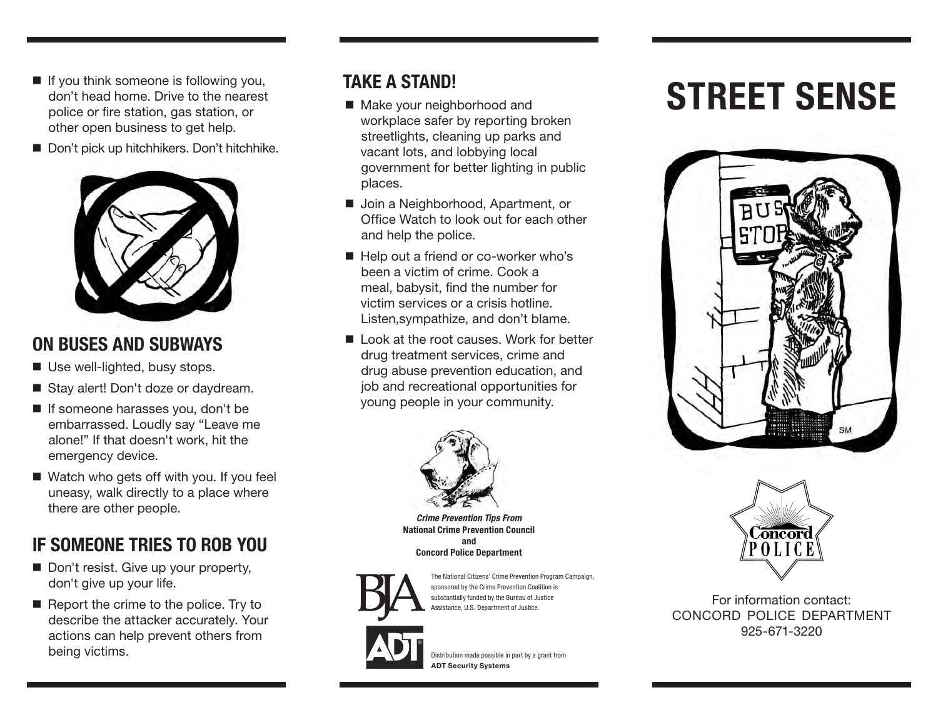- If you think someone is following you, don't head home. Drive to the nearest police or fire station, gas station, or other open business to get help.
- Don't pick up hitchhikers. Don't hitchhike.



#### ON BUSES AND SUBWAYS

- Use well-lighted, busy stops.
- Stay alert! Don't doze or daydream.
- **If someone harasses you, don't be** embarrassed. Loudly say "Leave me alone!" If that doesn't work, hit the emergency device.
- Watch who gets off with you. If you feel uneasy, walk directly to a place where there are other people.

# IF SOMEONE TRIES TO ROB YOU

- Don't resist. Give up your property, don't give up your life.
- $\blacksquare$  Report the crime to the police. Try to describe the attacker accurately. Your actions can help prevent others from being victims.

#### TAKE A STAND!

- Make your neighborhood and workplace safer by reporting broken streetlights, cleaning up parks and vacant lots, and lobbying local government for better lighting in public places.
- Join a Neighborhood, Apartment, or Office Watch to look out for each other and help the police.
- Help out a friend or co-worker who's been a victim of crime. Cook a meal, babysit, find the number for victim services or a crisis hotline. Listen,sympathize, and don't blame.
- Look at the root causes. Work for better drug treatment services, crime and drug abuse prevention education, and job and recreational opportunities for young people in your community.



*Crime Prevention Tips From* National Crime Prevention Council and Concord Police Department



The National Citizens' Crime Prevention Program Campaign, sponsored by the Crime Prevention Coalition is substantially funded by the Bureau of Justice Assistance, U.S. Department of Justice.



Distribution made possible in part by a grant from ADT Security Systems

# STREET SENSE





For information contact: CONCORD POLICE DEPARTMENT 925-671-3220